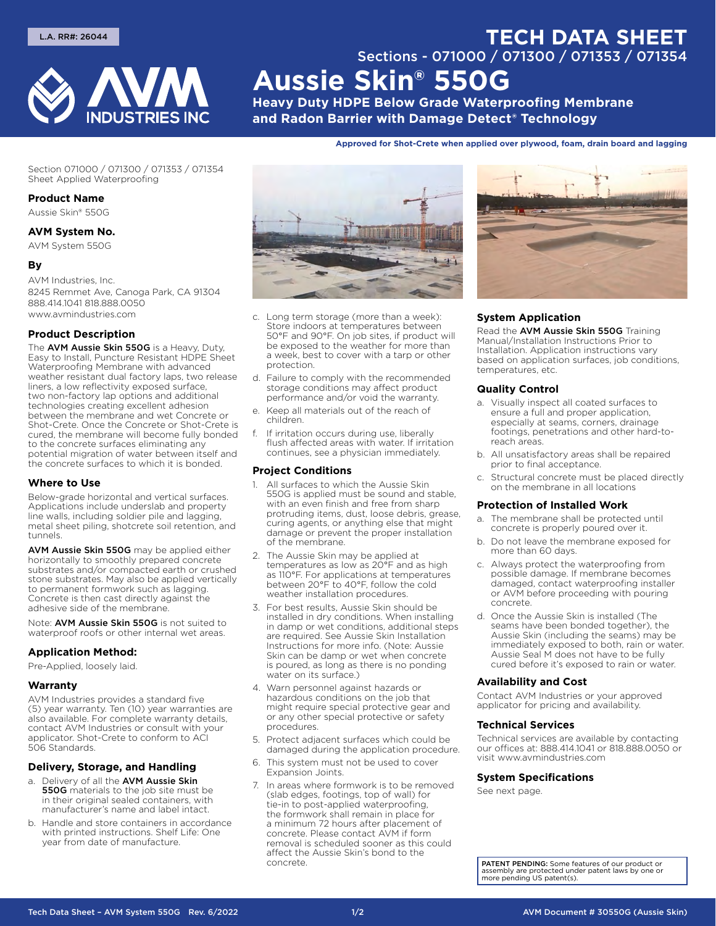

# Sections - 071000 / 071300 / 071353 / 071354 **Aussie Skin® 550G**

**Heavy Duty HDPE Below Grade Waterproofing Membrane and Radon Barrier with Damage Detect® Technology**

**Approved for Shot‑Crete when applied over plywood, foam, drain board and lagging**

Section 071000 / 071300 / 071353 / 071354 Sheet Applied Waterproofing

#### **Product Name**

Aussie Skin® 550G

# **AVM System No.**

AVM System 550G

## **By**

AVM Industries, Inc.

8245 Remmet Ave, Canoga Park, CA 91304 888.414.1041 818.888.0050 www.avmindustries.com

# **Product Description**

The AVM Aussie Skin 550G is a Heavy, Duty, Easy to Install, Puncture Resistant HDPE Sheet Waterproofing Membrane with advanced weather resistant dual factory laps, two release liners, a low reflectivity exposed surface, two non-factory lap options and additional technologies creating excellent adhesion between the membrane and wet Concrete or Shot-Crete. Once the Concrete or Shot-Crete is cured, the membrane will become fully bonded to the concrete surfaces eliminating any potential migration of water between itself and the concrete surfaces to which it is bonded.

#### **Where to Use**

Below-grade horizontal and vertical surfaces. Applications include underslab and property line walls, including soldier pile and lagging, metal sheet piling, shotcrete soil retention, and tunnels.

AVM Aussie Skin 550G may be applied either horizontally to smoothly prepared concrete substrates and/or compacted earth or crushed stone substrates. May also be applied vertically to permanent formwork such as lagging. Concrete is then cast directly against the adhesive side of the membrane.

Note: AVM Aussie Skin 550G is not suited to waterproof roofs or other internal wet areas.

#### **Application Method:**

Pre-Applied, loosely laid.

#### **Warranty**

AVM Industries provides a standard five (5) year warranty. Ten (10) year warranties are also available. For complete warranty details, contact AVM Industries or consult with your applicator. Shot-Crete to conform to ACI 506 Standards.

# **Delivery, Storage, and Handling**

- a. Delivery of all the AVM Aussie Skin **550G** materials to the job site must be in their original sealed containers, with manufacturer's name and label intact.
- b. Handle and store containers in accordance with printed instructions. Shelf Life: One year from date of manufacture.



- c. Long term storage (more than a week): Store indoors at temperatures between 50°F and 90°F. On job sites, if product will be exposed to the weather for more than a week, best to cover with a tarp or other protection.
- d. Failure to comply with the recommended storage conditions may affect product performance and/or void the warranty.
- e. Keep all materials out of the reach of children.
- f. If irritation occurs during use, liberally flush affected areas with water. If irritation continues, see a physician immediately.

#### **Project Conditions**

- 1. All surfaces to which the Aussie Skin 550G is applied must be sound and stable, with an even finish and free from sharp protruding items, dust, loose debris, grease, curing agents, or anything else that might damage or prevent the proper installation of the membrane.
- The Aussie Skin may be applied at temperatures as low as 20°F and as high as 110°F. For applications at temperatures between 20°F to 40°F, follow the cold weather installation procedures.
- 3. For best results, Aussie Skin should be installed in dry conditions. When installing in damp or wet conditions, additional steps are required. See Aussie Skin Installation Instructions for more info. (Note: Aussie Skin can be damp or wet when concrete is poured, as long as there is no ponding water on its surface.)
- 4. Warn personnel against hazards or hazardous conditions on the job that might require special protective gear and or any other special protective or safety procedures.
- 5. Protect adjacent surfaces which could be damaged during the application procedure.
- 6. This system must not be used to cover Expansion Joints.
- 7. In areas where formwork is to be removed (slab edges, footings, top of wall) for tie-in to post-applied waterproofing, the formwork shall remain in place for a minimum 72 hours after placement of concrete. Please contact AVM if form removal is scheduled sooner as this could affect the Aussie Skin's bond to the concrete.



**TECH DATA SHEET**

# **System Application**

Read the AVM Aussie Skin 550G Training Manual/Installation Instructions Prior to Installation. Application instructions vary based on application surfaces, job conditions, temperatures, etc.

#### **Quality Control**

- a. Visually inspect all coated surfaces to ensure a full and proper application, especially at seams, corners, drainage footings, penetrations and other hard-toreach areas.
- b. All unsatisfactory areas shall be repaired prior to final acceptance.
- c. Structural concrete must be placed directly on the membrane in all locations

## **Protection of Installed Work**

- a. The membrane shall be protected until concrete is properly poured over it.
- b. Do not leave the membrane exposed for more than 60 days.
- c. Always protect the waterproofing from possible damage. If membrane becomes damaged, contact waterproofing installer or AVM before proceeding with pouring concrete.
- d. Once the Aussie Skin is installed (The seams have been bonded together), the Aussie Skin (including the seams) may be immediately exposed to both, rain or water. Aussie Seal M does not have to be fully cured before it's exposed to rain or water.

#### **Availability and Cost**

Contact AVM Industries or your approved applicator for pricing and availability.

#### **Technical Services**

Technical services are available by contacting our offices at: 888.414.1041 or 818.888.0050 or visit www.avmindustries.com

# **System Specifications**

See next page.

PATENT PENDING: Some features of our product or assembly are protected under patent laws by one or more pending US patent(s).